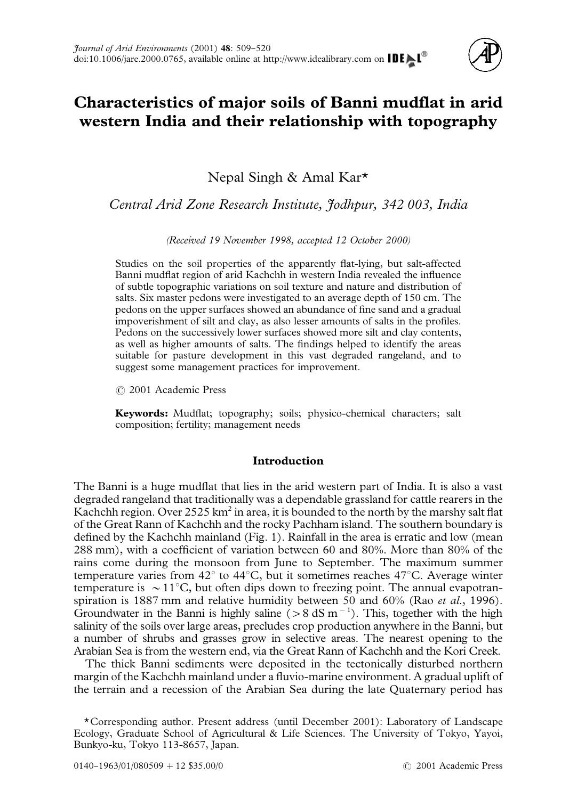

# **Characteristics of major soils of Banni mudflat in arid western India and their relationship with topography**

Nepal Singh & Amal Kar\*

*Central Arid Zone Research Institute, Jodhpur, 342 003, India*

*(Received 19 November 1998, accepted 12 October 2000)*

Studies on the soil properties of the apparently flat-lying, but salt-affected Banni mudflat region of arid Kachchh in western India revealed the influence of subtle topographic variations on soil texture and nature and distribution of salts. Six master pedons were investigated to an average depth of 150 cm. The pedons on the upper surfaces showed an abundance of fine sand and a gradual impoverishment of silt and clay, as also lesser amounts of salts in the profiles. Pedons on the successively lower surfaces showed more silt and clay contents, as well as higher amounts of salts. The findings helped to identify the areas suitable for pasture development in this vast degraded rangeland, and to suggest some management practices for improvement.

( 2001 Academic Press

**Keywords:** Mudflat; topography; soils; physico-chemical characters; salt composition; fertility; management needs

## **Introduction**

The Banni is a huge mudflat that lies in the arid western part of India. It is also a vast degraded rangeland that traditionally was a dependable grassland for cattle rearers in the Kachchh region. Over 2525 km<sup>2</sup> in area, it is bounded to the north by the marshy salt flat of the Great Rann of Kachchh and the rocky Pachham island. The southern boundary is defined by the Kachchh mainland [\(Fig. 1\)](#page-1-0). Rainfall in the area is erratic and low (mean 288 mm), with a coefficient of variation between 60 and 80%. More than 80% of the rains come during the monsoon from June to September. The maximum summer temperature varies from  $42^{\circ}$  to  $44^{\circ}$ C, but it sometimes reaches  $47^{\circ}$ C. Average winter temperature is  $\sim 11^{\circ}$ C, but often dips down to freezing point. The annual evapotranspiration is 1887 mm and relative humidity between 50 and 60% (Rao *et al*[., 1996\).](#page-11-0) Groundwater in the Banni is highly saline  $(> 8 \text{ dS m}^{-1})$ . This, together with the high salinity of the soils over large areas, precludes crop production anywhere in the Banni, but a number of shrubs and grasses grow in selective areas. The nearest opening to the Arabian Sea is from the western end, via the Great Rann of Kachchh and the Kori Creek.

The thick Banni sediments were deposited in the tectonically disturbed northern margin of the Kachchh mainland under a fluvio-marine environment. A gradual uplift of the terrain and a recession of the Arabian Sea during the late Quaternary period has

<sup>\*</sup>Corresponding author. Present address (until December 2001): Laboratory of Landscape Ecology, Graduate School of Agricultural & Life Sciences. The University of Tokyo, Yayoi, Bunkyo-ku, Tokyo 113-8657, Japan.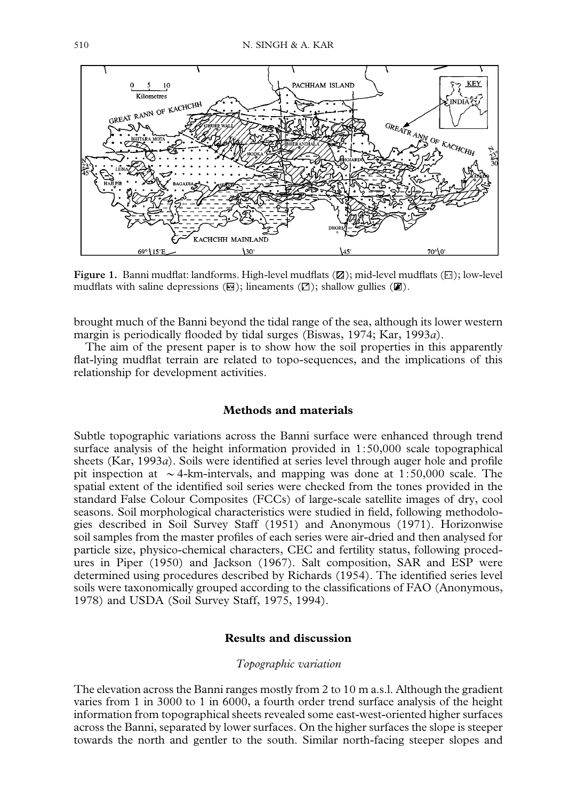<span id="page-1-0"></span>

Figure 1. Banni mudflat: landforms. High-level mudflats ( $\mathbb{Z}$ ); mid-level mudflats ( $\boxdot$ ); low-level mudflats with saline depressions  $(\Xi)$ ; lineaments  $(\square)$ ; shallow gullies  $(\mathbb{Z})$ .

brought much of the Banni beyond the tidal range of the sea, although its lower western margin is periodically flooded by tidal surges [\(Biswas, 1974;](#page-10-0) [Kar, 1993](#page-11-0)*a*).

The aim of the present paper is to show how the soil properties in this apparently flat-lying mudflat terrain are related to topo-sequences, and the implications of this relationship for development activities.

## **Methods and materials**

Subtle topographic variations across the Banni surface were enhanced through trend surface analysis of the height information provided in 1:50,000 scale topographical sheets [\(Kar, 1993](#page-11-0)*a*). Soils were identified at series level through auger hole and profile pit inspection at  $\sim$  4-km-intervals, and mapping was done at 1:50,000 scale. The spatial extent of the identified soil series were checked from the tones provided in the standard False Colour Composites (FCCs) of large-scale satellite images of dry, cool seasons. Soil morphological characteristics were studied in field, following methodologies described in [Soil Survey Staff \(1951\)](#page-11-0) and [Anonymous \(1971\)](#page-10-0). Horizonwise soil samples from the master profiles of each series were air-dried and then analysed for particle size, physico-chemical characters, CEC and fertility status, following procedures in [Piper \(1950\)](#page-11-0) and [Jackson \(1967\).](#page-10-0) Salt composition, SAR and ESP were determined using procedures described by [Richards \(1954\).](#page-11-0) The identified series level soils were taxonomically grouped according to the classifications of FAO [\(Anonymous,](#page-10-0) [1978\)](#page-10-0) and USDA [\(Soil Survey Staff, 1975, 1994\)](#page-11-0).

## **Results and discussion**

#### *Topographic variation*

The elevation across the Banni ranges mostly from 2 to 10 m a.s.l. Although the gradient varies from 1 in 3000 to 1 in 6000, a fourth order trend surface analysis of the height information from topographical sheets revealed some east-west-oriented higher surfaces across the Banni, separated by lower surfaces. On the higher surfaces the slope is steeper towards the north and gentler to the south. Similar north-facing steeper slopes and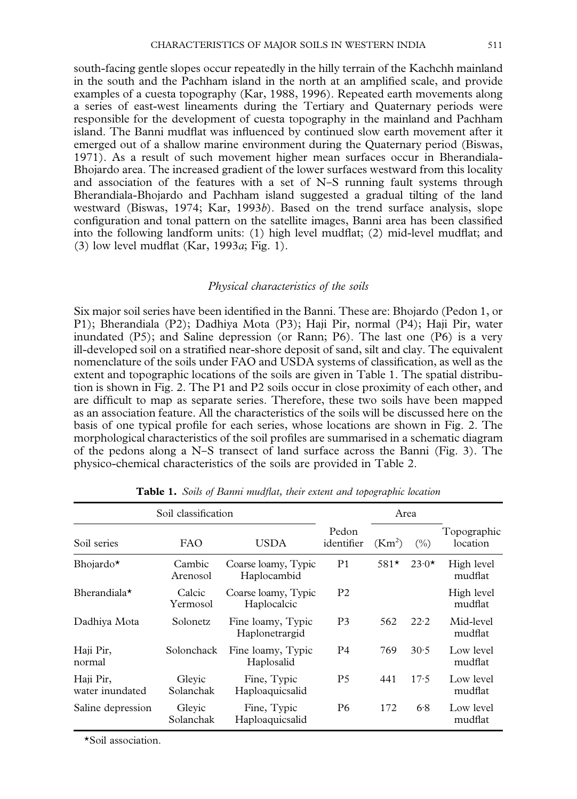south-facing gentle slopes occur repeatedly in the hilly terrain of the Kachchh mainland in the south and the Pachham island in the north at an amplified scale, and provide examples of a cuesta topography [\(Kar, 1988, 1996\)](#page-11-0). Repeated earth movements along a series of east-west lineaments during the Tertiary and Quaternary periods were responsible for the development of cuesta topography in the mainland and Pachham island. The Banni mudflat was influenced by continued slow earth movement after it emerged out of a shallow marine environment during the Quaternary period [\(Biswas,](#page-10-0) [1971\).](#page-10-0) As a result of such movement higher mean surfaces occur in Bherandiala-Bhojardo area. The increased gradient of the lower surfaces westward from this locality and association of the features with a set of  $N-S$  running fault systems through Bherandiala-Bhojardo and Pachham island suggested a gradual tilting of the land westward [\(Biswas, 1974;](#page-10-0) [Kar, 1993](#page-11-0)*b*). Based on the trend surface analysis, slope configuration and tonal pattern on the satellite images, Banni area has been classified into the following landform units: (1) high level mudflat; (2) mid-level mudflat; and (3) low level mudflat [\(Kar, 1993](#page-11-0)*a*; [Fig. 1\).](#page-1-0)

#### *Physical characteristics of the soils*

Six major soil series have been identified in the Banni. These are: Bhojardo (Pedon 1, or P1); Bherandiala (P2); Dadhiya Mota (P3); Haji Pir, normal (P4); Haji Pir, water inundated (P5); and Saline depression (or Rann; P6). The last one (P6) is a very ill-developed soil on a stratified near-shore deposit of sand, silt and clay. The equivalent nomenclature of the soils under FAO and USDA systems of classification, as well as the extent and topographic locations of the soils are given in Table 1. The spatial distribution is shown in [Fig. 2.](#page-3-0) The P1 and P2 soils occur in close proximity of each other, and are difficult to map as separate series. Therefore, these two soils have been mapped as an association feature. All the characteristics of the soils will be discussed here on the basis of one typical profile for each series, whose locations are shown in [Fig. 2.](#page-3-0) The morphological characteristics of the soil profiles are summarised in a schematic diagram of the pedons along a N-S transect of land surface across the Banni [\(Fig. 3\)](#page-3-0). The physico-chemical characteristics of the soils are provided in [Table 2.](#page-4-0)

| Soil classification          | Area                |                                     |                     |                    |         |                         |
|------------------------------|---------------------|-------------------------------------|---------------------|--------------------|---------|-------------------------|
| Soil series                  | <b>FAO</b>          | USDA                                | Pedon<br>identifier | (Km <sup>2</sup> ) | (0/0)   | Topographic<br>location |
| Bhojardo*                    | Cambic<br>Arenosol  | Coarse loamy, Typic<br>Haplocambid  | P <sub>1</sub>      | $581*$             | $23.0*$ | High level<br>mudflat   |
| Bherandiala $\star$          | Calcic<br>Yermosol  | Coarse loamy, Typic<br>Haplocalcic  | P <sub>2</sub>      |                    |         | High level<br>mudflat   |
| Dadhiya Mota                 | Solonetz            | Fine loamy, Typic<br>Haplonetrargid | P3                  | 562                | 22.2    | Mid-level<br>mudflat    |
| Haji Pir,<br>normal          | Solonchack          | Fine loamy, Typic<br>Haplosalid     | P4                  | 769                | 30.5    | Low level<br>mudflat    |
| Haji Pir,<br>water inundated | Glevic<br>Solanchak | Fine, Typic<br>Haploaquicsalid      | P5                  | 441                | 17.5    | Low level<br>mudflat    |
| Saline depression            | Gleyic<br>Solanchak | Fine, Typic<br>Haploaquicsalid      | P6                  | 172                | 6.8     | Low level<br>mudflat    |

**Table 1.** *Soils of Banni mudflat, their extent and topographic location*

\*Soil association.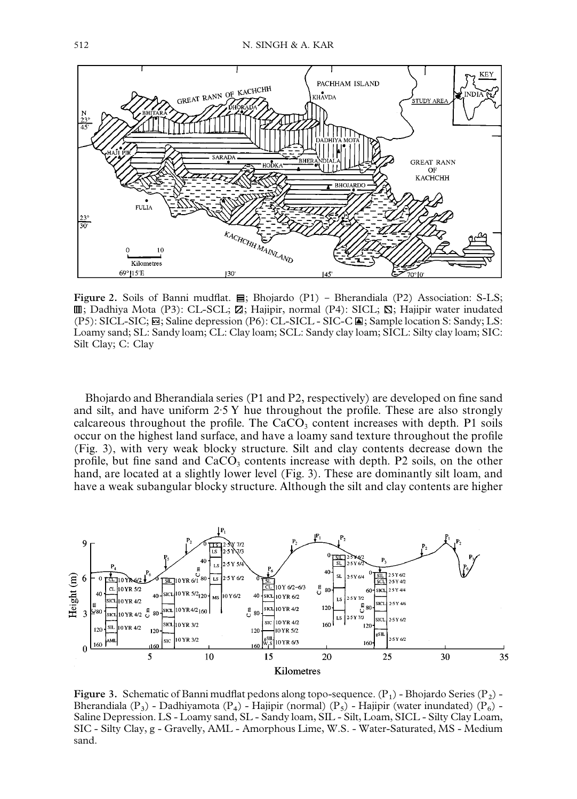<span id="page-3-0"></span>

**Figure 2.** Soils of Banni mudflat.  $\Xi$ ; Bhojardo (P1) - Bherandiala (P2) Association: S-LS;  $\mathbb{I}$ ; Dadhiya Mota (P3): CL-SCL;  $\mathbb{Z}$ ; Hajipir, normal (P4): SICL;  $\mathbb{S}$ ; Hajipir water inudated (P5): SICL-SIC; ; Saline depression (P6): CL-SICL - SIC-C ; Sample location S: Sandy; LS: Loamy sand; SL: Sandy loam; CL: Clay loam; SCL: Sandy clay loam; SICL: Silty clay loam; SIC: Silt Clay; C: Clay

Bhojardo and Bherandiala series (P1 and P2, respectively) are developed on fine sand and silt, and have uniform  $2.5$  Y hue throughout the profile. These are also strongly calcareous throughout the profile. The  $CaCO<sub>3</sub>$  content increases with depth. P1 soils occur on the highest land surface, and have a loamy sand texture throughout the profile (Fig. 3), with very weak blocky structure. Silt and clay contents decrease down the profile, but fine sand and  $CaCO<sub>3</sub>$  contents increase with depth. P2 soils, on the other hand, are located at a slightly lower level (Fig. 3). These are dominantly silt loam, and have a weak subangular blocky structure. Although the silt and clay contents are higher



**Figure 3.** Schematic of Banni mudflat pedons along topo-sequence.  $(P_1)$  - Bhojardo Series  $(P_2)$ Bherandiala  $(P_3)$  - Dadhiyamota  $(P_4)$  - Hajipir (normal)  $(P_5)$  - Hajipir (water inundated)  $(P_6)$  -Saline Depression. LS - Loamy sand, SL - Sandy loam, SIL - Silt, Loam, SICL - Silty Clay Loam, SIC - Silty Clay, g - Gravelly, AML - Amorphous Lime, W.S. - Water-Saturated, MS - Medium sand.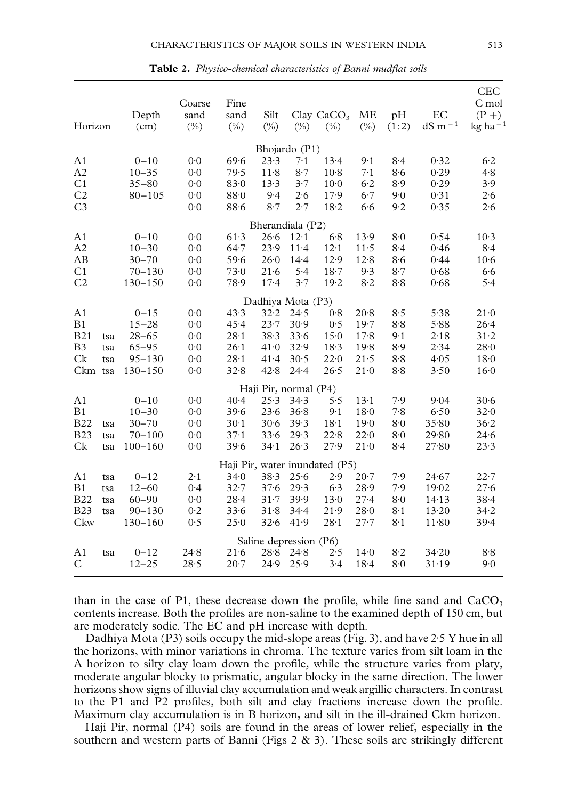<span id="page-4-0"></span>

| Horizon        |     | Depth<br>(cm) | Coarse<br>sand<br>$(\%)$ | Fine<br>sand<br>$(\%)$ | Silt<br>$(\%)$         | $(\%)$   | Clay $CaCO3$<br>$(\%)$         | <b>ME</b><br>$(\%)$ | pH<br>(1:2) | EC<br>$dS$ m <sup><math>-1</math></sup> | CEC<br>C mol<br>$(P + )$<br>$kg$ ha $^{-1}$ |
|----------------|-----|---------------|--------------------------|------------------------|------------------------|----------|--------------------------------|---------------------|-------------|-----------------------------------------|---------------------------------------------|
|                |     |               |                          |                        | Bhojardo (P1)          |          |                                |                     |             |                                         |                                             |
| A <sub>1</sub> |     | $0 - 10$      | 0.0                      | 69.6                   | 23.3                   | 7.1      | 13.4                           | 9.1                 | 8.4         | 0.32                                    | 6.2                                         |
| A2             |     | $10 - 35$     | 0.0                      | 79.5                   | 11.8                   | 8.7      | $10-8$                         | 7.1                 | 8.6         | 0.29                                    | 4.8                                         |
| C <sub>1</sub> |     | $35 - 80$     | 0 <sub>0</sub>           | 83.0                   | 13.3                   | 3.7      | 10 <sub>0</sub>                | 6.2                 | 8.9         | 0.29                                    | 3.9                                         |
| C <sub>2</sub> |     | $80 - 105$    | 0 <sup>0</sup>           | 88.0                   | 9.4                    | 2.6      | 17.9                           | 6.7                 | 9.0         | 0.31                                    | 2.6                                         |
| C <sub>3</sub> |     |               | 0.0                      | 88.6                   | 8.7                    | 2.7      | 18.2                           | 6.6                 | 9.2         | 0.35                                    | 2.6                                         |
|                |     |               |                          |                        | Bherandiala (P2)       |          |                                |                     |             |                                         |                                             |
| A1             |     | $0 - 10$      | 0 <sub>0</sub>           | 61.3                   | 26.6                   | $12-1$   | 6.8                            | 13.9                | 8.0         | 0.54                                    | $10-3$                                      |
| A <sub>2</sub> |     | $10 - 30$     | 0 <sub>0</sub>           | 64.7                   | 23.9                   | $11 - 4$ | 12.1                           | 11.5                | 8·4         | 0.46                                    | 8.4                                         |
| AB             |     | $30 - 70$     | 0 <sup>0</sup>           | 59.6                   | 26.0                   | 14.4     | 12.9                           | 12.8                | 8.6         | 0.44                                    | $10-6$                                      |
| C1             |     | $70 - 130$    | 0.0                      | 73.0                   | 21.6                   | 5.4      | 18.7                           | 9.3                 | $8-7$       | 0.68                                    | 6.6                                         |
| C <sub>2</sub> |     | $130 - 150$   | 0.0                      | 78.9                   | $17-4$                 | 3.7      | 19.2                           | 8.2                 | 8.8         | 0.68                                    | 5.4                                         |
|                |     |               |                          |                        | Dadhiya Mota (P3)      |          |                                |                     |             |                                         |                                             |
| A <sub>1</sub> |     | $0 - 15$      | 0 <sub>0</sub>           | 43.3                   | 32.2                   | 24.5     | 0.8                            | 20.8                | 8.5         | 5.38                                    | 21.0                                        |
| B1             |     | $15 - 28$     | 0.0                      | 45.4                   | 23.7                   | 30.9     | 0.5                            | 19.7                | 8.8         | 5.88                                    | 26.4                                        |
| <b>B21</b>     | tsa | $28 - 65$     | 0.0                      | $28 - 1$               | 38.3                   | 33.6     | 150                            | $17-8$              | 9.1         | 2.18                                    | 31.2                                        |
| B <sub>3</sub> | tsa | $65 - 95$     | 0.0                      | 26.1                   | 41.0                   | 32.9     | 18.3                           | 19.8                | 8.9         | 2.34                                    | 28.0                                        |
| Ck             | tsa | $95 - 130$    | 0 <sub>0</sub>           | $28 - 1$               | 41.4                   | 30.5     | 22.0                           | 21.5                | 8.8         | 4.05                                    | 18 <sub>0</sub>                             |
| Ckm tsa        |     | $130 - 150$   | 0.0                      | 32.8                   | 42.8                   | $24 - 4$ | 26.5                           | 21.0                | 8.8         | 3.50                                    | 16.0                                        |
|                |     |               |                          |                        | Haji Pir, normal (P4)  |          |                                |                     |             |                                         |                                             |
| A <sub>1</sub> |     | $0 - 10$      | 0 <sup>0</sup>           | 40.4                   | 25.3                   | 34.3     | 5.5                            | $13-1$              | 7.9         | 9.04                                    | $30 - 6$                                    |
| B1             |     | $10 - 30$     | 0.0                      | 39.6                   | 23.6                   | 36.8     | 9.1                            | 18 <sub>0</sub>     | 7.8         | 6.50                                    | 32.0                                        |
| <b>B22</b>     | tsa | $30 - 70$     | 0.0                      | $30-1$                 | $30 - 6$               | 39.3     | $18-1$                         | 19.0                | 8.0         | 35.80                                   | 36.2                                        |
| <b>B23</b>     | tsa | $70 - 100$    | 0 <sup>0</sup>           | 37.1                   | 33.6                   | 29.3     | 22.8                           | 22.0                | 8.0         | 29.80                                   | 24.6                                        |
| Ck             | tsa | $100 - 160$   | 0 <sup>0</sup>           | 39.6                   | 34.1                   | 26.3     | 27.9                           | 21.0                | 8.4         | 27.80                                   | 23.3                                        |
|                |     |               |                          |                        |                        |          | Haji Pir, water inundated (P5) |                     |             |                                         |                                             |
| A1             | tsa | $0 - 12$      | 2.1                      | 34.0                   | 38.3                   | 25.6     | 2.9                            | $20 - 7$            | 7.9         | 24.67                                   | 22.7                                        |
| B1             | tsa | $12 - 60$     | 0.4                      | $32 - 7$               | 37.6                   | 29.3     | 6.3                            | 28.9                | 7.9         | 19.02                                   | 27.6                                        |
| <b>B22</b>     | tsa | $60 - 90$     | 0.0                      | $28 - 4$               | $31 - 7$               | 39.9     | 13.0                           | $27 - 4$            | 8.0         | 14.13                                   | $38 - 4$                                    |
| <b>B23</b>     | tsa | $90 - 130$    | 0.2                      | 33.6                   | 31.8                   | 34.4     | 21.9                           | 28.0                | 8.1         | 13.20                                   | 34.2                                        |
| Ckw            |     | $130 - 160$   | 0.5                      | 25.0                   | 32.6                   | 41.9     | $28 - 1$                       | $27 - 7$            | 8.1         | 11.80                                   | 39.4                                        |
|                |     |               |                          |                        | Saline depression (P6) |          |                                |                     |             |                                         |                                             |
| A1             | tsa | $0 - 12$      | 24.8                     | 21.6                   | 28.8                   | 24.8     | 2.5                            | 14.0                | 8.2         | 34.20                                   | 8.8                                         |
| C              |     | $12 - 25$     | 28.5                     | $20 - 7$               | 24.9                   | 25.9     | 3.4                            | 18.4                | 8.0         | 31.19                                   | 9.0                                         |

**Table 2.** *Physico-chemical characteristics of Banni mudflat soils*

than in the case of P1, these decrease down the profile, while fine sand and  $CaCO<sub>3</sub>$ contents increase. Both the profiles are non-saline to the examined depth of 150 cm, but are moderately sodic. The EC and pH increase with depth.

Dadhiya Mota (P3) soils occupy the mid-slope areas ([Fig. 3](#page-3-0)), and have  $2.5$  Y hue in all the horizons, with minor variations in chroma. The texture varies from silt loam in the A horizon to silty clay loam down the profile, while the structure varies from platy, moderate angular blocky to prismatic, angular blocky in the same direction. The lower horizons show signs of illuvial clay accumulation and weak argillic characters. In contrast to the P1 and P2 profiles, both silt and clay fractions increase down the profile. Maximum clay accumulation is in B horizon, and silt in the ill-drained Ckm horizon.

Haji Pir, normal (P4) soils are found in the areas of lower relief, especially in the southern and western parts of Banni [\(Figs 2](#page-3-0) & [3\)](#page-3-0). These soils are strikingly different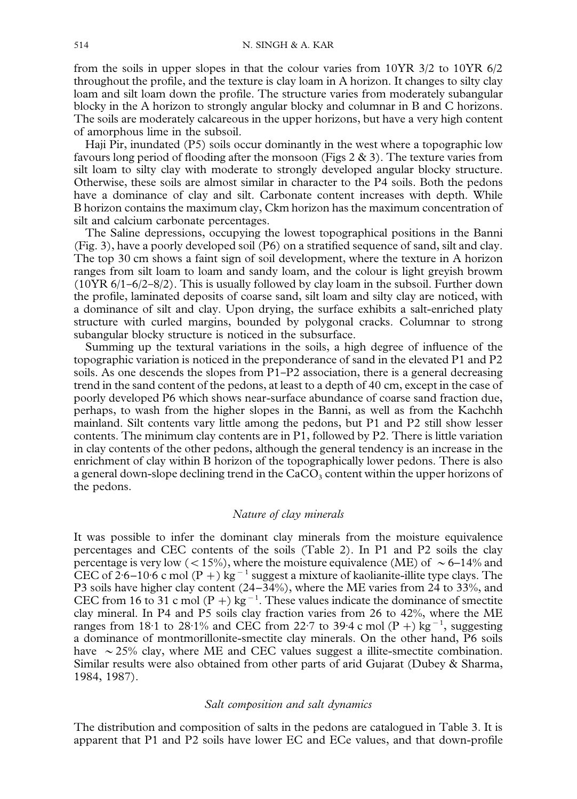from the soils in upper slopes in that the colour varies from 10YR 3/2 to 10YR 6/2 throughout the profile, and the texture is clay loam in A horizon. It changes to silty clay loam and silt loam down the profile. The structure varies from moderately subangular blocky in the A horizon to strongly angular blocky and columnar in B and C horizons. The soils are moderately calcareous in the upper horizons, but have a very high content of amorphous lime in the subsoil.

Haji Pir, inundated (P5) soils occur dominantly in the west where a topographic low favours long period of flooding after the monsoon (Figs  $2 \& 3$ ). The texture varies from silt loam to silty clay with moderate to strongly developed angular blocky structure. Otherwise, these soils are almost similar in character to the P4 soils. Both the pedons have a dominance of clay and silt. Carbonate content increases with depth. While B horizon contains the maximum clay, Ckm horizon has the maximum concentration of silt and calcium carbonate percentages.

The Saline depressions, occupying the lowest topographical positions in the Banni [\(Fig. 3\),](#page-3-0) have a poorly developed soil (P6) on a stratified sequence of sand, silt and clay. The top 30 cm shows a faint sign of soil development, where the texture in A horizon ranges from silt loam to loam and sandy loam, and the colour is light greyish browm  $(10YR 6/1 - 6/2 - 8/2)$ . This is usually followed by clay loam in the subsoil. Further down the profile, laminated deposits of coarse sand, silt loam and silty clay are noticed, with a dominance of silt and clay. Upon drying, the surface exhibits a salt-enriched platy structure with curled margins, bounded by polygonal cracks. Columnar to strong subangular blocky structure is noticed in the subsurface.

Summing up the textural variations in the soils, a high degree of influence of the topographic variation is noticed in the preponderance of sand in the elevated P1 and P2 soils. As one descends the slopes from  $P1-P2$  association, there is a general decreasing trend in the sand content of the pedons, at least to a depth of 40 cm, except in the case of poorly developed P6 which shows near-surface abundance of coarse sand fraction due, perhaps, to wash from the higher slopes in the Banni, as well as from the Kachchh mainland. Silt contents vary little among the pedons, but P1 and P2 still show lesser contents. The minimum clay contents are in P1, followed by P2. There is little variation in clay contents of the other pedons, although the general tendency is an increase in the enrichment of clay within B horizon of the topographically lower pedons. There is also a general down-slope declining trend in the  $CaCO<sub>3</sub>$  content within the upper horizons of the pedons.

#### *Nature of clay minerals*

It was possible to infer the dominant clay minerals from the moisture equivalence percentages and CEC contents of the soils [\(Table 2\).](#page-4-0) In P1 and P2 soils the clay percentage is very low ( $\langle 15\% \rangle$ , where the moisture equivalence (ME) of  $\sim 6-14\%$  and CEC of 2.6–10.6 c mol  $(P +)$  kg<sup>-1</sup> suggest a mixture of kaolianite-illite type clays. The P3 soils have higher clay content (24–34%), where the ME varies from 24 to 33%, and CEC from 16 to 31 c mol (P +) kg<sup>-1</sup>. These values indicate the dominance of smectite clay mineral. In P4 and P5 soils clay fraction varies from 26 to 42%, where the ME ranges from 18.1 to 28.1% and CEC from 22.7 to 39.4 c mol (P +) kg<sup>-1</sup>, suggesting a dominance of montmorillonite-smectite clay minerals. On the other hand, P6 soils have  $\sim$  25% clay, where ME and CEC values suggest a illite-smectite combination. Similar results were also obtained from other parts of arid Gujarat [\(Dubey & Sharma,](#page-10-0) [1984, 1987\)](#page-10-0).

## *Salt composition and salt dynamics*

The distribution and composition of salts in the pedons are catalogued in [Table 3.](#page-6-0) It is apparent that P1 and P2 soils have lower EC and ECe values, and that down-profile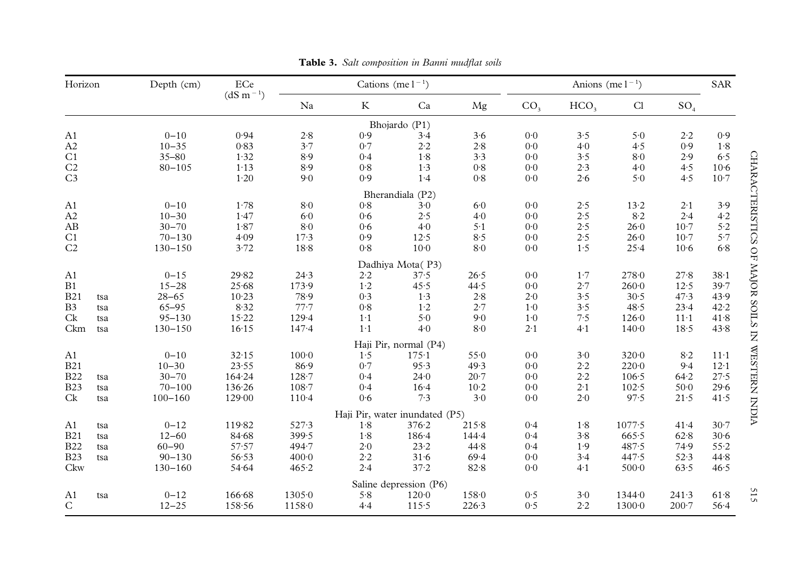<span id="page-6-0"></span>

| Horizon        |     | Depth (cm)  | ECe           | Cations (me $1^{-1}$ ) |                                |                        |           | Anions (me $1^{-1}$ ) |                  |                |                 | <b>SAR</b> |
|----------------|-----|-------------|---------------|------------------------|--------------------------------|------------------------|-----------|-----------------------|------------------|----------------|-----------------|------------|
|                |     |             | $(dS m^{-1})$ | Na                     | $\rm K$                        | Ca                     | Mg        | CO <sub>3</sub>       | HCO <sub>3</sub> | Cl             | SO <sub>4</sub> |            |
|                |     |             |               |                        |                                | Bhojardo (P1)          |           |                       |                  |                |                 |            |
| A <sub>1</sub> |     | $0 - 10$    | 0.94          | 2.8                    | 0.9                            | 3.4                    | 3.6       | 0 <sup>0</sup>        | 3.5              | 5.0            | 2.2             | 0.9        |
| A2             |     | $10 - 35$   | 0.83          | 3.7                    | 0.7                            | $2.2$                  | $2.8$     | 0 <sup>0</sup>        | 4.0              | 4.5            | 0.9             | 1.8        |
| C1             |     | $35 - 80$   | 1.32          | $8.9$                  | 0.4                            | 1.8                    | 3.3       | $0\mathord{\cdot} 0$  | 3.5              | 8.0            | 2.9             | 6.5        |
| C <sub>2</sub> |     | $80 - 105$  | 1.13          | 8.9                    | 0.8                            | 1.3                    | 0.8       | 0 <sup>0</sup>        | 2.3              | $4-0$          | 4.5             | $10-6$     |
| C <sub>3</sub> |     |             | 1.20          | 9.0                    | 0.9                            | 1.4                    | $0·8$     | 0 <sup>0</sup>        | 2.6              | 5.0            | 4.5             | $10-7$     |
|                |     |             |               |                        |                                | Bherandiala (P2)       |           |                       |                  |                |                 |            |
| A <sub>1</sub> |     | $0 - 10$    | 1.78          | $8·0$                  | 0.8                            | 3.0                    | 6.0       | $0\!\cdot\!0$         | 2.5              | $13 - 2$       | 2.1             | 3.9        |
| A2             |     | $10 - 30$   | 1.47          | 6.0                    | 0.6                            | 2.5                    | 4.0       | 0 <sup>0</sup>        | $2.5$            | 8.2            | 2.4             | 4.2        |
| $\rm AB$       |     | $30 - 70$   | 1.87          | $8-0$                  | 0.6                            | 4.0                    | $5·1$     | 0 <sup>0</sup>        | 2.5              | 26.0           | $10-7$          | 5.2        |
| C1             |     | $70 - 130$  | 4.09          | $17-3$                 | 0.9                            | 12.5                   | 8.5       | 0 <sup>0</sup>        | $2.5$            | 26.0           | $10-7$          | 5.7        |
| C <sub>2</sub> |     | $130 - 150$ | 3.72          | 18.8                   | 0.8                            | $10-0$                 | 8·0       | 0 <sup>0</sup>        | 1.5              | 25.4           | $10-6$          | 6.8        |
|                |     |             |               |                        |                                | Dadhiya Mota(P3)       |           |                       |                  |                |                 |            |
| A <sub>1</sub> |     | $0 - 15$    | 29.82         | 24.3                   | $2\cdot 2$                     | 37.5                   | 26.5      | $0\!\cdot\!0$         | $1\cdot 7$       | 278.0          | 27.8            | $38 - 1$   |
| B1             |     | $15 - 28$   | 25.68         | 173.9                  | 1·2                            | 45.5                   | 44.5      | 0 <sup>0</sup>        | 2.7              | $260 - 0$      | 12.5            | 39.7       |
| <b>B21</b>     | tsa | $28 - 65$   | $10-23$       | 78.9                   | 0.3                            | 1.3                    | 2.8       | 2.0                   | 3.5              | 30.5           | 47.3            | 43.9       |
| B <sub>3</sub> | tsa | $65 - 95$   | 8.32          | 77.7                   | $0·8$                          | $1-2$                  | 2.7       | 1.0                   | 3.5              | 48.5           | 23.4            | 42.2       |
| Ck             | tsa | $95 - 130$  | 15.22         | $129 - 4$              | $1-1$                          | 5.0                    | 9.0       | 1.0                   | 7.5              | 126.0          | $11-1$          | 41.8       |
| Ckm            | tsa | $130 - 150$ | 16.15         | 147.4                  | 1·1                            | 4.0                    | 8·0       | $2 \cdot 1$           | 4.1              | 140.0          | 18.5            | 43.8       |
|                |     |             |               |                        |                                | Haji Pir, normal (P4)  |           |                       |                  |                |                 |            |
| A1             |     | $0 - 10$    | 32.15         | 100 <sub>0</sub>       | 1.5                            | 175.1                  | 550       | 0 <sup>0</sup>        | 3.0              | $320 - 0$      | $8-2$           | $11-1$     |
| <b>B21</b>     |     | $10 - 30$   | 23.55         | 86.9                   | 0.7                            | 95.3                   | 49.3      | 0 <sup>0</sup>        | $2-2$            | $220 - 0$      | 9.4             | $12-1$     |
| <b>B22</b>     | tsa | $30 - 70$   | 164.24        | $128 - 7$              | 0.4                            | 24.0                   | $20 - 7$  | 0 <sup>0</sup>        | $2.2\,$          | $106 - 5$      | 64.2            | 27.5       |
| <b>B23</b>     | tsa | $70 - 100$  | 136.26        | $108 - 7$              | 0.4                            | $16-4$                 | $10-2$    | 0 <sub>0</sub>        | $2-1$            | 102.5          | $50-0$          | 29.6       |
| Ck             | tsa | $100 - 160$ | 129.00        | $110-4$                | 0.6                            | 7.3                    | 3.0       | 0 <sub>0</sub>        | 2.0              | 97.5           | 21.5            | 41.5       |
|                |     |             |               |                        | Haji Pir, water inundated (P5) |                        |           |                       |                  |                |                 |            |
| A1             | tsa | $0 - 12$    | 119.82        | 527.3                  | 1.8                            | 376.2                  | 215.8     | 0.4                   | $1.8\,$          | 1077.5         | 41.4            | $30-7$     |
| <b>B21</b>     | tsa | $12 - 60$   | 84.68         | 399.5                  | 1.8                            | $186 - 4$              | $144 - 4$ | 0.4                   | 3.8              | 665.5          | 62.8            | $30-6$     |
| <b>B22</b>     | tsa | $60 - 90$   | 57.57         | $494 - 7$              | 2.0                            | 23.2                   | 44.8      | 0.4                   | 1.9              | 487.5          | 74.9            | $55-2$     |
| <b>B23</b>     | tsa | $90 - 130$  | 56.53         | 400 <sub>0</sub>       | 2.2                            | $31·6$                 | 69.4      | $0·0$                 | 3.4              | 447.5          | 52.3            | 44.8       |
| Ckw            |     | $130 - 160$ | 54.64         | 465.2                  | 2.4                            | $37 - 2$               | 82.8      | 0 <sub>0</sub>        | $4-1$            | $500-0$        | 63.5            | 46.5       |
|                |     |             |               |                        |                                | Saline depression (P6) |           |                       |                  |                |                 |            |
| A <sub>1</sub> | tsa | $0 - 12$    | 166.68        | 13050                  | 5.8                            | $120 - 0$              | 158.0     | 0.5                   | 3.0              | $1344 \cdot 0$ | 241.3           | 61.8       |
| $\mathsf{C}$   |     | $12 - 25$   | 158.56        | 1158.0                 | 4.4                            | 115.5                  | 226.3     | 0.5                   | 2.2              | 1300.0         | $200 - 7$       | 56.4       |

**Table 3.** *Salt composition in Banni mudflat soils*

 $515$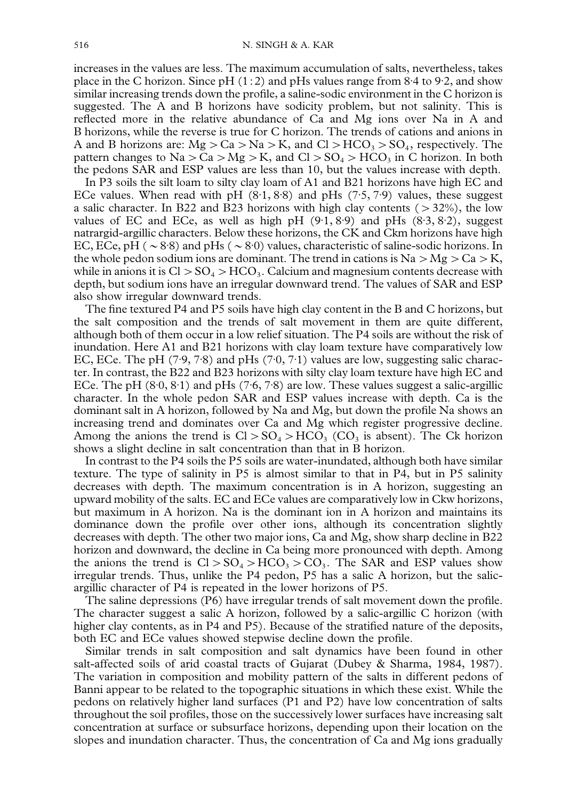increases in the values are less. The maximum accumulation of salts, nevertheless, takes place in the C horizon. Since  $pH (1:2)$  and pHs values range from 8.4 to 9.2, and show similar increasing trends down the profile, a saline-sodic environment in the C horizon is suggested. The A and B horizons have sodicity problem, but not salinity. This is reflected more in the relative abundance of Ca and Mg ions over Na in A and B horizons, while the reverse is true for C horizon. The trends of cations and anions in A and B horizons are:  $Mg > Ca > Na > K$ , and  $Cl > HCO<sub>3</sub> > SO<sub>4</sub>$ , respectively. The pattern changes to  $Na > Ca > Mg > K$ , and  $Cl > SO<sub>4</sub> > HCO<sub>3</sub>$  in C horizon. In both the pedons SAR and ESP values are less than 10, but the values increase with depth.

In P3 soils the silt loam to silty clay loam of A1 and B21 horizons have high EC and ECe values. When read with pH  $(8.1, 8.8)$  and pHs  $(7.5, 7.9)$  values, these suggest a salic character. In B22 and B23 horizons with high clay contents  $(>32\%)$ , the low values of EC and ECe, as well as high pH  $(9.1, 8.9)$  and pHs  $(8.3, 8.2)$ , suggest natrargid-argillic characters. Below these horizons, the CK and Ckm horizons have high EC, ECe, pH ( $\sim$  8.8) and pHs ( $\sim$  8.0) values, characteristic of saline-sodic horizons. In the whole pedon sodium ions are dominant. The trend in cations is  $Na > Mg > Ca > K$ , while in anions it is  $Cl > SO_4 > HCO_3$ . Calcium and magnesium contents decrease with depth, but sodium ions have an irregular downward trend. The values of SAR and ESP also show irregular downward trends.

The fine textured P4 and P5 soils have high clay content in the B and C horizons, but the salt composition and the trends of salt movement in them are quite different, although both of them occur in a low relief situation. The P4 soils are without the risk of inundation. Here A1 and B21 horizons with clay loam texture have comparatively low EC, ECe. The pH (7.9, 7.8) and pHs (7.0, 7.1) values are low, suggesting salic character. In contrast, the B22 and B23 horizons with silty clay loam texture have high EC and ECe. The pH  $(8.0, 8.1)$  and pHs  $(7.6, 7.8)$  are low. These values suggest a salic-argillic character. In the whole pedon SAR and ESP values increase with depth. Ca is the dominant salt in A horizon, followed by Na and Mg, but down the profile Na shows an increasing trend and dominates over Ca and Mg which register progressive decline. Among the anions the trend is  $Cl > SO_4 > HCO_3$  (CO<sub>3</sub> is absent). The Ck horizon shows a slight decline in salt concentration than that in B horizon.

In contrast to the P4 soils the P5 soils are water-inundated, although both have similar texture. The type of salinity in P5 is almost similar to that in P4, but in P5 salinity decreases with depth. The maximum concentration is in A horizon, suggesting an upward mobility of the salts. EC and ECe values are comparatively low in Ckw horizons, but maximum in A horizon. Na is the dominant ion in A horizon and maintains its dominance down the profile over other ions, although its concentration slightly decreases with depth. The other two major ions, Ca and Mg, show sharp decline in B22 horizon and downward, the decline in Ca being more pronounced with depth. Among the anions the trend is  $Cl > SO_4 > HCO_3 > CO_3$ . The SAR and ESP values show irregular trends. Thus, unlike the P4 pedon, P5 has a salic A horizon, but the salicargillic character of P4 is repeated in the lower horizons of P5.

The saline depressions (P6) have irregular trends of salt movement down the profile. The character suggest a salic A horizon, followed by a salic-argillic C horizon (with higher clay contents, as in P4 and P5). Because of the stratified nature of the deposits, both EC and ECe values showed stepwise decline down the profile.

Similar trends in salt composition and salt dynamics have been found in other salt-affected soils of arid coastal tracts of Gujarat [\(Dubey & Sharma, 1984, 1987\)](#page-10-0). The variation in composition and mobility pattern of the salts in different pedons of Banni appear to be related to the topographic situations in which these exist. While the pedons on relatively higher land surfaces (P1 and P2) have low concentration of salts throughout the soil profiles, those on the successively lower surfaces have increasing salt concentration at surface or subsurface horizons, depending upon their location on the slopes and inundation character. Thus, the concentration of Ca and Mg ions gradually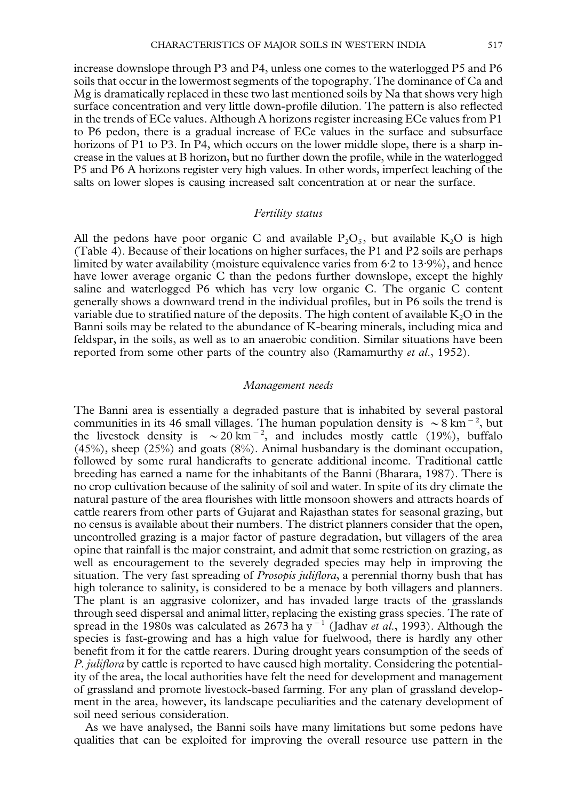increase downslope through P3 and P4, unless one comes to the waterlogged P5 and P6 soils that occur in the lowermost segments of the topography. The dominance of Ca and Mg is dramatically replaced in these two last mentioned soils by Na that shows very high surface concentration and very little down-profile dilution. The pattern is also reflected in the trends of ECe values. Although A horizons register increasing ECe values from P1 to P6 pedon, there is a gradual increase of ECe values in the surface and subsurface horizons of P1 to P3. In P4, which occurs on the lower middle slope, there is a sharp increase in the values at B horizon, but no further down the profile, while in the waterlogged P5 and P6 A horizons register very high values. In other words, imperfect leaching of the salts on lower slopes is causing increased salt concentration at or near the surface.

## *Fertility status*

All the pedons have poor organic C and available  $P_2O_5$ , but available K<sub>2</sub>O is high [\(Table 4\).](#page-9-0) Because of their locations on higher surfaces, the P1 and P2 soils are perhaps limited by water availability (moisture equivalence varies from  $6.2$  to  $13.9\%$ ), and hence have lower average organic C than the pedons further downslope, except the highly saline and waterlogged P6 which has very low organic C. The organic C content generally shows a downward trend in the individual profiles, but in P6 soils the trend is variable due to stratified nature of the deposits. The high content of available  $K<sub>2</sub>O$  in the Banni soils may be related to the abundance of K-bearing minerals, including mica and feldspar, in the soils, as well as to an anaerobic condition. Similar situations have been reported from some other parts of the country also [\(Ramamurthy](#page-11-0) *et al*., 1952).

#### *Management needs*

The Banni area is essentially a degraded pasture that is inhabited by several pastoral communities in its 46 small villages. The human population density is  $\sim 8$  km<sup>-2</sup>, but the livestock density is  $\sim 20 \text{ km}^{-2}$ , and includes mostly cattle (19%), buffalo (45%), sheep (25%) and goats (8%). Animal husbandary is the dominant occupation, followed by some rural handicrafts to generate additional income. Traditional cattle breeding has earned a name for the inhabitants of the Banni [\(Bharara, 1987\)](#page-10-0). There is no crop cultivation because of the salinity of soil and water. In spite of its dry climate the natural pasture of the area flourishes with little monsoon showers and attracts hoards of cattle rearers from other parts of Gujarat and Rajasthan states for seasonal grazing, but no census is available about their numbers. The district planners consider that the open, uncontrolled grazing is a major factor of pasture degradation, but villagers of the area opine that rainfall is the major constraint, and admit that some restriction on grazing, as well as encouragement to the severely degraded species may help in improving the situation. The very fast spreading of *Prosopis juliflora*, a perennial thorny bush that has high tolerance to salinity, is considered to be a menace by both villagers and planners. The plant is an aggrasive colonizer, and has invaded large tracts of the grasslands through seed dispersal and animal litter, replacing the existing grass species. The rate of spread in the 1980s was calculated as  $2673$  ha y<sup>-1</sup> (Jadhav *et al.*, 1993). Although the species is fast-growing and has a high value for fuelwood, there is hardly any other benefit from it for the cattle rearers. During drought years consumption of the seeds of *P. juliflora* by cattle is reported to have caused high mortality. Considering the potentiality of the area, the local authorities have felt the need for development and management of grassland and promote livestock-based farming. For any plan of grassland development in the area, however, its landscape peculiarities and the catenary development of soil need serious consideration.

As we have analysed, the Banni soils have many limitations but some pedons have qualities that can be exploited for improving the overall resource use pattern in the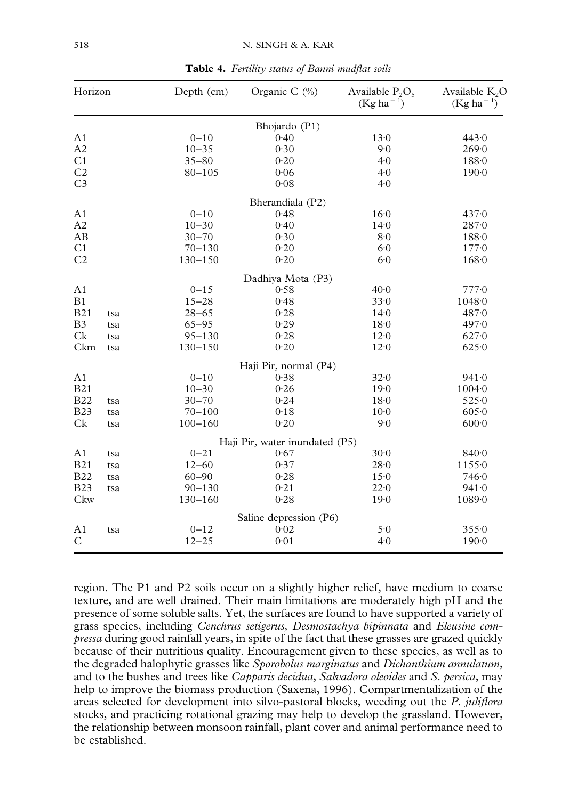<span id="page-9-0"></span>

| Horizon        |     | Depth (cm)  | Organic C $(\%)$               | Available $P_2O_5$<br>$(Kg ha^{-1})$ | Available $K_2O$<br>$(Kg ha^{-1})$ |  |
|----------------|-----|-------------|--------------------------------|--------------------------------------|------------------------------------|--|
|                |     |             | Bhojardo (P1)                  |                                      |                                    |  |
| A <sub>1</sub> |     | $0 - 10$    | 0.40                           | 13.0                                 | 443.0                              |  |
| A2             |     | $10 - 35$   | 0.30                           | 9.0                                  | 269.0                              |  |
| C <sub>1</sub> |     | $35 - 80$   | 0.20                           | 4.0                                  | 1880                               |  |
| C <sub>2</sub> |     | $80 - 105$  | 0.06                           | 4.0                                  | $190 - 0$                          |  |
| C <sub>3</sub> |     |             | 0.08                           | 4.0                                  |                                    |  |
|                |     |             | Bherandiala (P2)               |                                      |                                    |  |
| A1             |     | $0 - 10$    | 0.48                           | 16.0                                 | 437.0                              |  |
| A2             |     | $10 - 30$   | 0.40                           | $14-0$                               | $287 - 0$                          |  |
| AB             |     | $30 - 70$   | 0.30                           | 8.0                                  | 188.0                              |  |
| C <sub>1</sub> |     | $70 - 130$  | 0.20                           | 6.0                                  | 177.0                              |  |
| C <sub>2</sub> |     | $130 - 150$ | 0.20                           | 6.0                                  | 168.0                              |  |
|                |     |             | Dadhiya Mota (P3)              |                                      |                                    |  |
| A <sub>1</sub> |     | $0 - 15$    | 0.58                           | 40.0                                 | 7770                               |  |
| B1             |     | $15 - 28$   | 0.48                           | 33.0                                 | 10480                              |  |
| <b>B21</b>     | tsa | $28 - 65$   | 0.28                           | $14-0$                               | 487.0                              |  |
| B <sub>3</sub> | tsa | $65 - 95$   | 0.29                           | 18.0                                 | 497.0                              |  |
| Ck             | tsa | $95 - 130$  | 0.28                           | 12.0                                 | 627.0                              |  |
| Ckm            | tsa | $130 - 150$ | 0.20                           | 12.0                                 | 625.0                              |  |
|                |     |             | Haji Pir, normal (P4)          |                                      |                                    |  |
| A1             |     | $0 - 10$    | 0.38                           | 32.0                                 | 941.0                              |  |
| <b>B21</b>     |     | $10 - 30$   | 0.26                           | 19.0                                 | 1004.0                             |  |
| <b>B22</b>     | tsa | $30 - 70$   | 0.24                           | 18.0                                 | 5250                               |  |
| <b>B23</b>     | tsa | $70 - 100$  | 0.18                           | $10-0$                               | 605.0                              |  |
| Ck             | tsa | $100 - 160$ | 0.20                           | 9.0                                  | $600 \cdot 0$                      |  |
|                |     |             | Haji Pir, water inundated (P5) |                                      |                                    |  |
| A1             | tsa | $0 - 21$    | 0.67                           | 30 <sub>0</sub>                      | 840.0                              |  |
| <b>B21</b>     | tsa | $12 - 60$   | 0.37                           | $28 - 0$                             | 11550                              |  |
| <b>B22</b>     | tsa | $60 - 90$   | 0.28                           | 15.0                                 | 746.0                              |  |
| <b>B23</b>     | tsa | $90 - 130$  | 0.21                           | 22.0                                 | 941.0                              |  |
| Ckw            |     | $130 - 160$ | 0.28                           | 19.0                                 | 1089.0                             |  |
|                |     |             | Saline depression (P6)         |                                      |                                    |  |
| A1             | tsa | $0 - 12$    | 0.02                           | 5.0                                  | 3550                               |  |
| $\mathsf{C}$   |     | $12 - 25$   | 0.01                           | 4.0                                  | 190.0                              |  |

**Table 4.** *Fertility status of Banni mudflat soils*

region. The P1 and P2 soils occur on a slightly higher relief, have medium to coarse texture, and are well drained. Their main limitations are moderately high pH and the presence of some soluble salts. Yet, the surfaces are found to have supported a variety of grass species, including *Cenchrus setigerus, Desmostachya bipinnata* and *Eleusine compressa* during good rainfall years, in spite of the fact that these grasses are grazed quickly because of their nutritious quality. Encouragement given to these species, as well as to the degraded halophytic grasses like *Sporobolus marginatus* and *Dichanthium annulatum*, and to the bushes and trees like *Capparis decidua*, *Salvadora oleoides* and *S. persica*, may help to improve the biomass production [\(Saxena, 1996\)](#page-11-0). Compartmentalization of the areas selected for development into silvo-pastoral blocks, weeding out the *P. juliflora* stocks, and practicing rotational grazing may help to develop the grassland. However, the relationship between monsoon rainfall, plant cover and animal performance need to be established.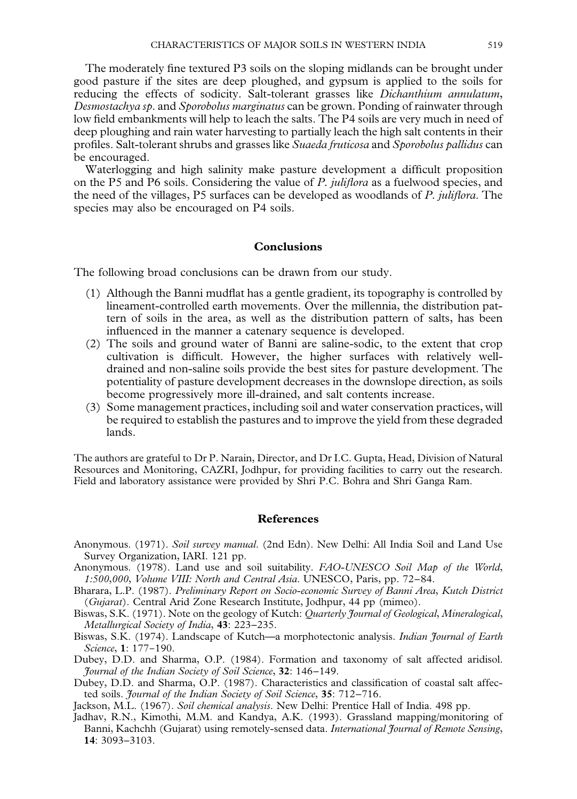<span id="page-10-0"></span>The moderately fine textured P3 soils on the sloping midlands can be brought under good pasture if the sites are deep ploughed, and gypsum is applied to the soils for reducing the effects of sodicity. Salt-tolerant grasses like *Dichanthium annulatum*, *Desmostachya sp*. and *Sporobolus marginatus* can be grown. Ponding of rainwater through low field embankments will help to leach the salts. The P4 soils are very much in need of deep ploughing and rain water harvesting to partially leach the high salt contents in their profiles. Salt-tolerant shrubs and grasses like *Suaeda fruticosa* and *Sporobolus pallidus* can be encouraged.

Waterlogging and high salinity make pasture development a difficult proposition on the P5 and P6 soils. Considering the value of *P. juliflora* as a fuelwood species, and the need of the villages, P5 surfaces can be developed as woodlands of *P. juliflora*. The species may also be encouraged on P4 soils.

## **Conclusions**

The following broad conclusions can be drawn from our study.

- (1) Although the Banni mudflat has a gentle gradient, its topography is controlled by lineament-controlled earth movements. Over the millennia, the distribution pattern of soils in the area, as well as the distribution pattern of salts, has been influenced in the manner a catenary sequence is developed.
- (2) The soils and ground water of Banni are saline-sodic, to the extent that crop cultivation is difficult. However, the higher surfaces with relatively welldrained and non-saline soils provide the best sites for pasture development. The potentiality of pasture development decreases in the downslope direction, as soils become progressively more ill-drained, and salt contents increase.
- (3) Some management practices, including soil and water conservation practices, will be required to establish the pastures and to improve the yield from these degraded lands.

The authors are grateful to Dr P. Narain, Director, and Dr I.C. Gupta, Head, Division of Natural Resources and Monitoring, CAZRI, Jodhpur, for providing facilities to carry out the research. Field and laboratory assistance were provided by Shri P.C. Bohra and Shri Ganga Ram.

### **References**

- Anonymous. (1971). *Soil survey manual*. (2nd Edn). New Delhi: All India Soil and Land Use Survey Organization, IARI. 121 pp.
- Anonymous. (1978). Land use and soil suitability. *FAO-UNESCO Soil Map of the World*, *1:500*,*000*, *Volume VIII: North and Central Asia*. UNESCO, Paris, pp. 72–84.
- Bharara, L.P. (1987). *Preliminary Report on Socio-economic Survey of Banni Area*, *Kutch District* (*Gujarat*). Central Arid Zone Research Institute, Jodhpur, 44 pp (mimeo).
- Biswas, S.K. (1971). Note on the geology of Kutch: *Quarterly Journal of Geological*, *Mineralogical*, *Metallurgical Society of India*, **43**: 223–235.
- Biswas, S.K. (1974). Landscape of Kutch—a morphotectonic analysis. *Indian Journal of Earth Science*, **1**: 177-190.
- Dubey, D.D. and Sharma, O.P. (1984). Formation and taxonomy of salt affected aridisol. *Journal of the Indian Society of Soil Science*, **32**: 146–149.
- Dubey, D.D. and Sharma, O.P. (1987). Characteristics and classification of coastal salt affected soils. *Journal of the Indian Society of Soil Science*, **35**: 712–716.
- Jackson, M.L. (1967). *Soil chemical analysis*. New Delhi: Prentice Hall of India. 498 pp.
- Jadhav, R.N., Kimothi, M.M. and Kandya, A.K. (1993). Grassland mapping/monitoring of Banni, Kachchh (Gujarat) using remotely-sensed data. *International Journal of Remote Sensing*, **14**: 3093–3103.